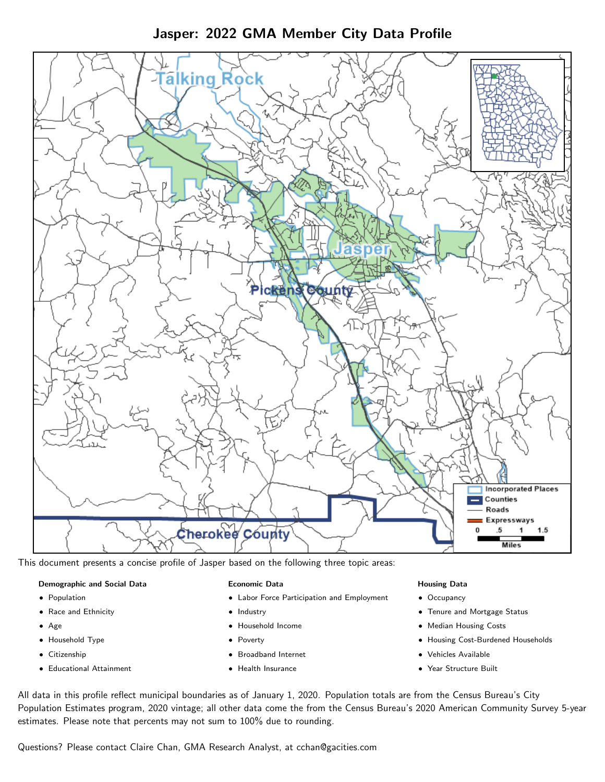Jasper: 2022 GMA Member City Data Profile



This document presents a concise profile of Jasper based on the following three topic areas:

#### Demographic and Social Data

- **•** Population
- Race and Ethnicity
- Age
- Household Type
- **Citizenship**
- Educational Attainment

#### Economic Data

- Labor Force Participation and Employment
- Industry
- Household Income
- Poverty
- Broadband Internet
- Health Insurance

#### Housing Data

- Occupancy
- Tenure and Mortgage Status
- Median Housing Costs
- Housing Cost-Burdened Households
- Vehicles Available
- Year Structure Built

All data in this profile reflect municipal boundaries as of January 1, 2020. Population totals are from the Census Bureau's City Population Estimates program, 2020 vintage; all other data come the from the Census Bureau's 2020 American Community Survey 5-year estimates. Please note that percents may not sum to 100% due to rounding.

Questions? Please contact Claire Chan, GMA Research Analyst, at [cchan@gacities.com.](mailto:cchan@gacities.com)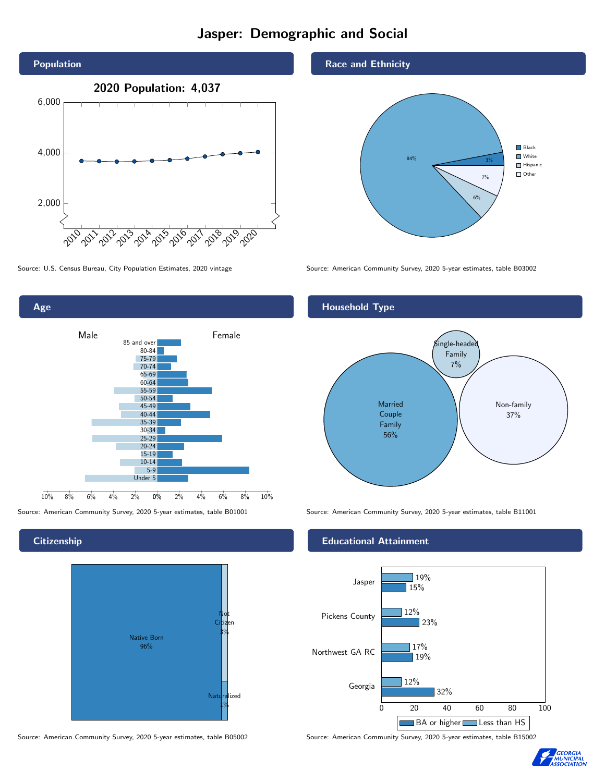# Jasper: Demographic and Social





**Citizenship** 



Source: American Community Survey, 2020 5-year estimates, table B05002 Source: American Community Survey, 2020 5-year estimates, table B15002

Race and Ethnicity



Source: U.S. Census Bureau, City Population Estimates, 2020 vintage Source: American Community Survey, 2020 5-year estimates, table B03002



Source: American Community Survey, 2020 5-year estimates, table B01001 Source: American Community Survey, 2020 5-year estimates, table B11001

### Educational Attainment



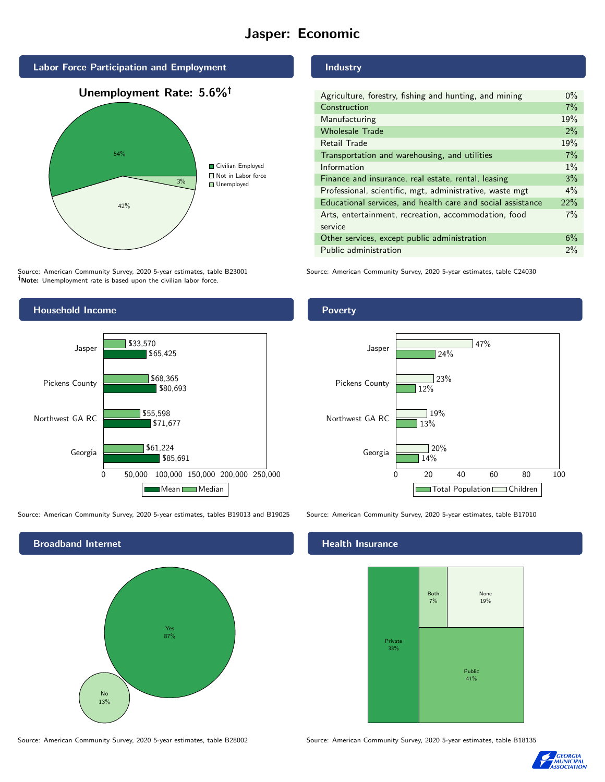## Jasper: Economic



Source: American Community Survey, 2020 5-year estimates, table B23001 Note: Unemployment rate is based upon the civilian labor force.



Source: American Community Survey, 2020 5-year estimates, tables B19013 and B19025 Source: American Community Survey, 2020 5-year estimates, table B17010



Source: American Community Survey, 2020 5-year estimates, table B28002 Source: American Community Survey, 2020 5-year estimates, table B18135

Industry

| Agriculture, forestry, fishing and hunting, and mining      | $0\%$ |
|-------------------------------------------------------------|-------|
| Construction                                                | 7%    |
| Manufacturing                                               | 19%   |
| <b>Wholesale Trade</b>                                      | 2%    |
| Retail Trade                                                | 19%   |
| Transportation and warehousing, and utilities               | 7%    |
| Information                                                 | $1\%$ |
| Finance and insurance, real estate, rental, leasing         | 3%    |
| Professional, scientific, mgt, administrative, waste mgt    | $4\%$ |
| Educational services, and health care and social assistance | 22%   |
| Arts, entertainment, recreation, accommodation, food        | $7\%$ |
| service                                                     |       |
| Other services, except public administration                | 6%    |
| Public administration                                       | 2%    |

Source: American Community Survey, 2020 5-year estimates, table C24030

**Poverty** 



#### Health Insurance